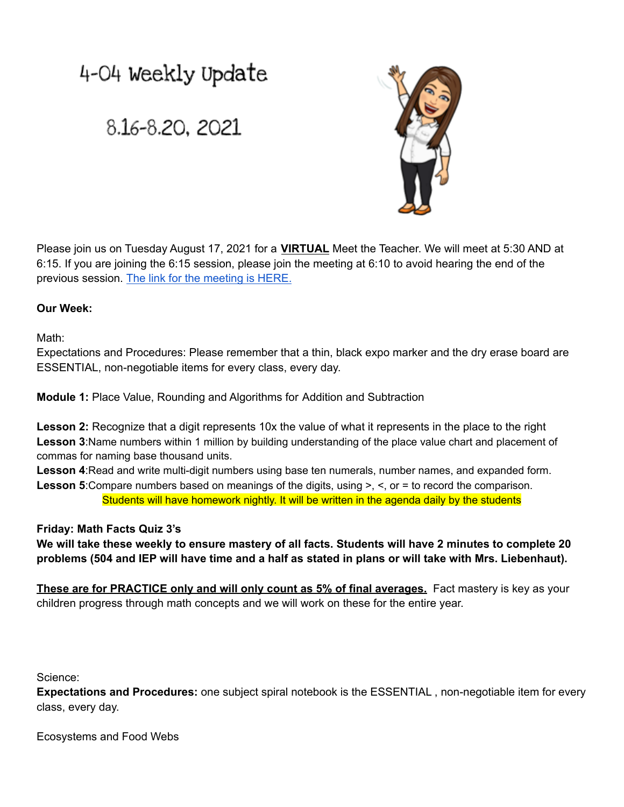## 4-04 Weekly Update

## 8.16-8.20, 2021



Please join us on Tuesday August 17, 2021 for a **VIRTUAL** Meet the Teacher. We will meet at 5:30 AND at 6:15. If you are joining the 6:15 session, please join the meeting at 6:10 to avoid hearing the end of the previous session. The link for the [meeting](https://teams.microsoft.com/l/meetup-join/19%3ameeting_NmQ5YjkyZjctNjdjZC00YzVhLThkZDEtOGM3MzE1NjE2NDVi%40thread.v2/0?context=%7b%22Tid%22%3a%222b291c94-5eb0-44b7-89ea-4baf16ecc4a9%22%2c%22Oid%22%3a%2298122fb8-a209-465c-8b14-6948e14e8d27%22%7d) is HERE.

## **Our Week:**

Math:

Expectations and Procedures: Please remember that a thin, black expo marker and the dry erase board are ESSENTIAL, non-negotiable items for every class, every day.

**Module 1:** Place Value, Rounding and Algorithms for Addition and Subtraction

**Lesson 2:** Recognize that a digit represents 10x the value of what it represents in the place to the right **Lesson 3**:Name numbers within 1 million by building understanding of the place value chart and placement of commas for naming base thousand units.

**Lesson 4**:Read and write multi-digit numbers using base ten numerals, number names, and expanded form. **Lesson 5**:Compare numbers based on meanings of the digits, using >, <, or = to record the comparison. Students will have homework nightly. It will be written in the agenda daily by the students

## **Friday: Math Facts Quiz 3's**

We will take these weekly to ensure mastery of all facts. Students will have 2 minutes to complete 20 problems (504 and IEP will have time and a half as stated in plans or will take with Mrs. Liebenhaut).

**These are for PRACTICE only and will only count as 5% of final averages.** Fact mastery is key as your children progress through math concepts and we will work on these for the entire year.

Science:

**Expectations and Procedures:** one subject spiral notebook is the ESSENTIAL , non-negotiable item for every class, every day.

Ecosystems and Food Webs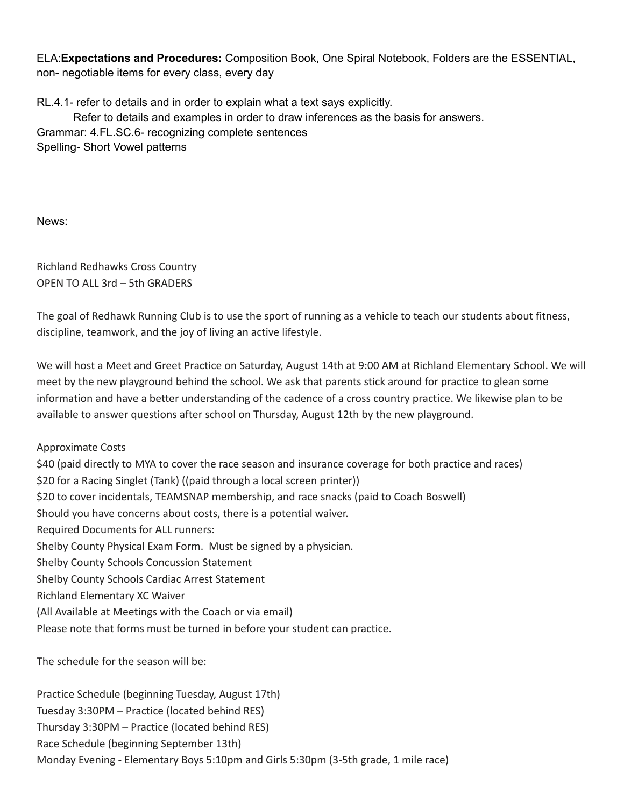ELA:**Expectations and Procedures:** Composition Book, One Spiral Notebook, Folders are the ESSENTIAL, non- negotiable items for every class, every day

RL.4.1- refer to details and in order to explain what a text says explicitly. Refer to details and examples in order to draw inferences as the basis for answers. Grammar: 4.FL.SC.6- recognizing complete sentences Spelling- Short Vowel patterns

News:

Richland Redhawks Cross Country OPEN TO ALL 3rd – 5th GRADERS

The goal of Redhawk Running Club is to use the sport of running as a vehicle to teach our students about fitness, discipline, teamwork, and the joy of living an active lifestyle.

We will host a Meet and Greet Practice on Saturday, August 14th at 9:00 AM at Richland Elementary School. We will meet by the new playground behind the school. We ask that parents stick around for practice to glean some information and have a better understanding of the cadence of a cross country practice. We likewise plan to be available to answer questions after school on Thursday, August 12th by the new playground.

Approximate Costs \$40 (paid directly to MYA to cover the race season and insurance coverage for both practice and races) \$20 for a Racing Singlet (Tank) ((paid through a local screen printer)) \$20 to cover incidentals, TEAMSNAP membership, and race snacks (paid to Coach Boswell) Should you have concerns about costs, there is a potential waiver. Required Documents for ALL runners: Shelby County Physical Exam Form. Must be signed by a physician. Shelby County Schools Concussion Statement Shelby County Schools Cardiac Arrest Statement Richland Elementary XC Waiver (All Available at Meetings with the Coach or via email) Please note that forms must be turned in before your student can practice.

The schedule for the season will be:

Practice Schedule (beginning Tuesday, August 17th) Tuesday 3:30PM – Practice (located behind RES) Thursday 3:30PM – Practice (located behind RES) Race Schedule (beginning September 13th) Monday Evening - Elementary Boys 5:10pm and Girls 5:30pm (3-5th grade, 1 mile race)